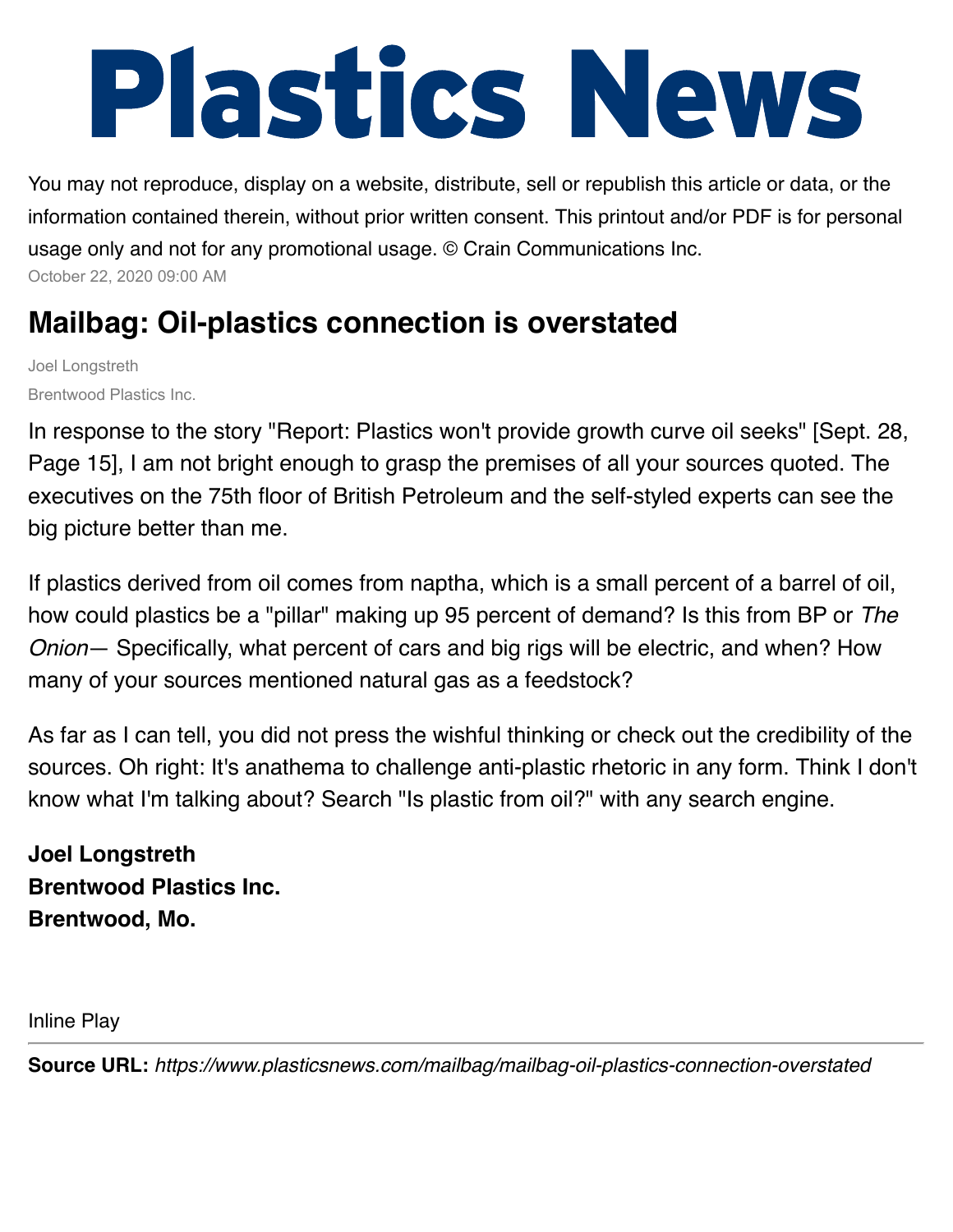# Plastics News

You may not reproduce, display on a website, distribute, sell or republish this article or data, or the information contained therein, without prior written consent. This printout and/or PDF is for personal usage only and not for any promotional usage. © Crain Communications Inc. October 22, 2020 09:00 AM

## **Mailbag: Oil-plastics connection is overstated**

Joel Longstreth Brentwood Plastics Inc.

In response to the story "Report: Plastics won't provide growth curve oil seeks" [Sept. 28, Page 15], I am not bright enough to grasp the premises of all your sources quoted. The executives on the 75th floor of British Petroleum and the self-styled experts can see the big picture better than me.

If plastics derived from oil comes from naptha, which is a small percent of a barrel of oil, how could plastics be a "pillar" making up 95 percent of demand? Is this from BP or *The Onion*— Specifically, what percent of cars and big rigs will be electric, and when? How many of your sources mentioned natural gas as a feedstock?

As far as I can tell, you did not press the wishful thinking or check out the credibility of the sources. Oh right: It's anathema to challenge anti-plastic rhetoric in any form. Think I don't know what I'm talking about? Search "Is plastic from oil?" with any search engine.

**Joel Longstreth Brentwood Plastics Inc. Brentwood, Mo.**

Inline Play

**Source URL:** *https://www.plasticsnews.com/mailbag/mailbag-oil-plastics-connection-overstated*